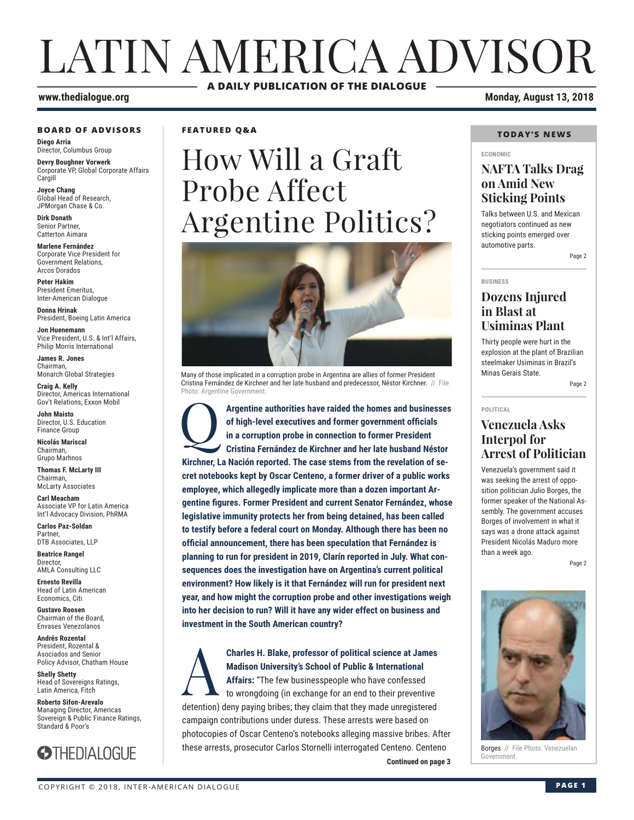# LATIN AMERICA ADVISOR **A DAILY PUBLICATION OF THE DIALOGUE**

#### **BOARD OF ADVISORS**

**Diego Arria** Director, Columbus Group

**Devry Boughner Vorwerk** Corporate VP, Global Corporate Affairs **Cargill** 

**Joyce Chang** Global Head of Research, JPMorgan Chase & Co.

**Dirk Donath** Senior Partner, Catterton Aimara

**Marlene Fernández** Corporate Vice President for Government Relations, Arcos Dorados

**Peter Hakim** President Emeritus, Inter-American Dialogue

**Donna Hrinak** President, Boeing Latin America

**Jon Huenemann** Vice President, U.S. & Int'l Affairs, Philip Morris International

**James R. Jones** Chairman, Monarch Global Strategies

**Craig A. Kelly** Director, Americas International Gov't Relations, Exxon Mobil

**John Maisto** Director, U.S. Education Finance Group

**Nicolás Mariscal** Chairman, Grupo Marhnos

**Thomas F. McLarty III** Chairman, McLarty Associates

**Carl Meacham** Associate VP for Latin America Int'l Advocacy Division, PhRMA

**Carlos Paz-Soldan** Partner, DTB Associates, LLP

**Beatrice Rangel**  Director, AMLA Consulting LLC

**Ernesto Revilla**  Head of Latin American Economics, Citi

**Gustavo Roosen** Chairman of the Board, Envases Venezolanos

**Andrés Rozental**  President, Rozental & Asociados and Senior Policy Advisor, Chatham House

**Shelly Shetty** Head of Sovereigns Ratings, Latin America, Fitch

**Roberto Sifon-Arevalo** Managing Director, Americas Sovereign & Public Finance Ratings, Standard & Poor's



**FEATURED Q&A**

# How Will a Graft Probe Affect Argentine Politics?



Many of those implicated in a corruption probe in Argentina are allies of former President Cristina Fernández de Kirchner and her late husband and predecessor, Néstor Kirchner. // File Photo: Argentine Government.

Argentine authorities have raided the homes and businesses of high-level executives and former government officials in a corruption probe in connection to former President Cristina Fernández de Kirchner and her late husban **of high-level executives and former government officials in a corruption probe in connection to former President Kirchner, La Nación reported. The case stems from the revelation of secret notebooks kept by Oscar Centeno, a former driver of a public works employee, which allegedly implicate more than a dozen important Argentine figures. Former President and current Senator Fernández, whose legislative immunity protects her from being detained, has been called to testify before a federal court on Monday. Although there has been no official announcement, there has been speculation that Fernández is planning to run for president in 2019, Clarín reported in July. What consequences does the investigation have on Argentina's current political environment? How likely is it that Fernández will run for president next year, and how might the corruption probe and other investigations weigh into her decision to run? Will it have any wider effect on business and investment in the South American country?**

**Continued on page 3 Continued on page 3 Charles H. Blake, professor of political science at James<br>Madison University's School of Public & International<br>Affairs: "The few businesspeople who have confessed<br>to wrongdoing (in exchange for an end to their preventive Madison University's School of Public & International Affairs:** "The few businesspeople who have confessed to wrongdoing (in exchange for an end to their preventive detention) deny paying bribes; they claim that they made unregistered campaign contributions under duress. These arrests were based on photocopies of Oscar Centeno's notebooks alleging massive bribes. After these arrests, prosecutor Carlos Stornelli interrogated Centeno. Centeno

**www.thedialogue.org Monday, August 13, 2018**

### **TODAY'S NEWS**

#### **ECONOMIC**

## **NAFTA Talks Drag on Amid New Sticking Points**

Talks between U.S. and Mexican negotiators continued as new sticking points emerged over automotive parts.

Page 2

**BUSINESS**

## **Dozens Injured in Blast at Usiminas Plant**

Thirty people were hurt in the explosion at the plant of Brazilian steelmaker Usiminas in Brazil's Minas Gerais State.

Page 2

## **POLITICAL**

## **Venezuela Asks Interpol for Arrest of Politician**

Venezuela's government said it was seeking the arrest of opposition politician Julio Borges, the former speaker of the National Assembly. The government accuses Borges of involvement in what it says was a drone attack against President Nicolás Maduro more than a week ago.

Page 2



Borges // File Photo: Venezuelan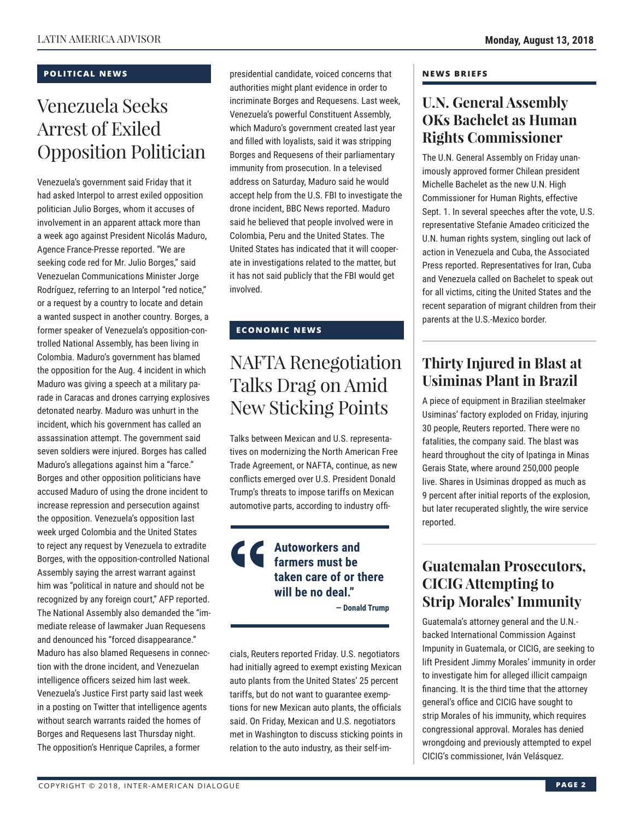## **POLITICAL NEWS**

# Venezuela Seeks Arrest of Exiled Opposition Politician

Venezuela's government said Friday that it had asked Interpol to arrest exiled opposition politician Julio Borges, whom it accuses of involvement in an apparent attack more than a week ago against President Nicolás Maduro, Agence France-Presse reported. "We are seeking code red for Mr. Julio Borges," said Venezuelan Communications Minister Jorge Rodríguez, referring to an Interpol "red notice," or a request by a country to locate and detain a wanted suspect in another country. Borges, a former speaker of Venezuela's opposition-controlled National Assembly, has been living in Colombia. Maduro's government has blamed the opposition for the Aug. 4 incident in which Maduro was giving a speech at a military parade in Caracas and drones carrying explosives detonated nearby. Maduro was unhurt in the incident, which his government has called an assassination attempt. The government said seven soldiers were injured. Borges has called Maduro's allegations against him a "farce." Borges and other opposition politicians have accused Maduro of using the drone incident to increase repression and persecution against the opposition. Venezuela's opposition last week urged Colombia and the United States to reject any request by Venezuela to extradite Borges, with the opposition-controlled National Assembly saying the arrest warrant against him was "political in nature and should not be recognized by any foreign court," AFP reported. The National Assembly also demanded the "immediate release of lawmaker Juan Requesens and denounced his "forced disappearance." Maduro has also blamed Requesens in connection with the drone incident, and Venezuelan intelligence officers seized him last week. Venezuela's Justice First party said last week in a posting on Twitter that intelligence agents without search warrants raided the homes of Borges and Requesens last Thursday night. The opposition's Henrique Capriles, a former

presidential candidate, voiced concerns that authorities might plant evidence in order to incriminate Borges and Requesens. Last week, Venezuela's powerful Constituent Assembly, which Maduro's government created last year and filled with loyalists, said it was stripping Borges and Requesens of their parliamentary immunity from prosecution. In a televised address on Saturday, Maduro said he would accept help from the U.S. FBI to investigate the drone incident, BBC News reported. Maduro said he believed that people involved were in Colombia, Peru and the United States. The United States has indicated that it will cooperate in investigations related to the matter, but it has not said publicly that the FBI would get involved.

## **ECONOMIC NEWS**

## NAFTA Renegotiation Talks Drag on Amid New Sticking Points

Talks between Mexican and U.S. representatives on modernizing the North American Free Trade Agreement, or NAFTA, continue, as new conflicts emerged over U.S. President Donald Trump's threats to impose tariffs on Mexican automotive parts, according to industry offi-

## **Autoworkers and farmers must be taken care of or there will be no deal."**

**— Donald Trump** 

cials, Reuters reported Friday. U.S. negotiators had initially agreed to exempt existing Mexican auto plants from the United States' 25 percent tariffs, but do not want to guarantee exemptions for new Mexican auto plants, the officials said. On Friday, Mexican and U.S. negotiators met in Washington to discuss sticking points in relation to the auto industry, as their self-im-

## **NEWS BRIEFS**

## **U.N. General Assembly OKs Bachelet as Human Rights Commissioner**

The U.N. General Assembly on Friday unanimously approved former Chilean president Michelle Bachelet as the new U.N. High Commissioner for Human Rights, effective Sept. 1. In several speeches after the vote, U.S. representative Stefanie Amadeo criticized the U.N. human rights system, singling out lack of action in Venezuela and Cuba, the Associated Press reported. Representatives for Iran, Cuba and Venezuela called on Bachelet to speak out for all victims, citing the United States and the recent separation of migrant children from their parents at the U.S.-Mexico border.

## **Thirty Injured in Blast at Usiminas Plant in Brazil**

A piece of equipment in Brazilian steelmaker Usiminas' factory exploded on Friday, injuring 30 people, Reuters reported. There were no fatalities, the company said. The blast was heard throughout the city of Ipatinga in Minas Gerais State, where around 250,000 people live. Shares in Usiminas dropped as much as 9 percent after initial reports of the explosion, but later recuperated slightly, the wire service reported.

## **Guatemalan Prosecutors, CICIG Attempting to Strip Morales' Immunity**

Guatemala's attorney general and the U.N. backed International Commission Against Impunity in Guatemala, or CICIG, are seeking to lift President Jimmy Morales' immunity in order to investigate him for alleged illicit campaign financing. It is the third time that the attorney general's office and CICIG have sought to strip Morales of his immunity, which requires congressional approval. Morales has denied wrongdoing and previously attempted to expel CICIG's commissioner, Iván Velásquez.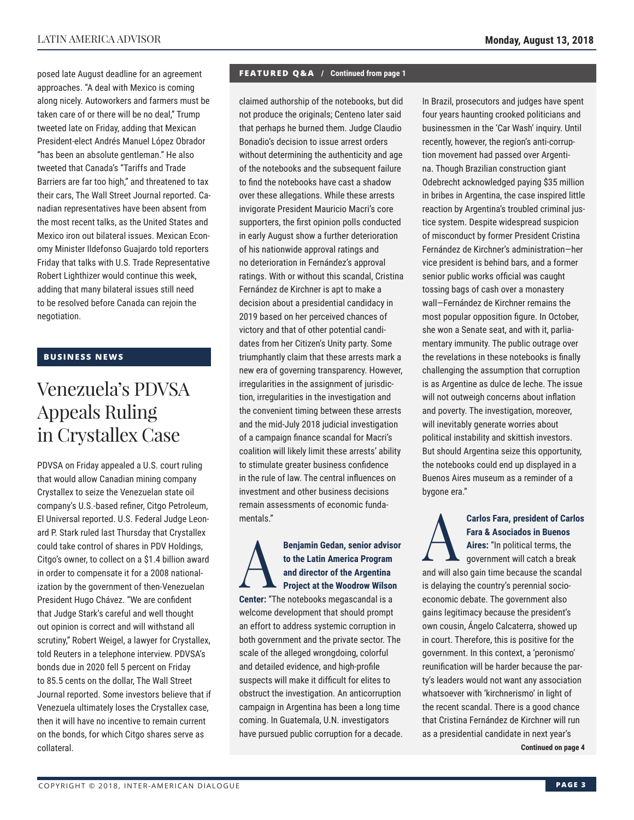posed late August deadline for an agreement approaches. "A deal with Mexico is coming along nicely. Autoworkers and farmers must be taken care of or there will be no deal," Trump tweeted late on Friday, adding that Mexican President-elect Andrés Manuel López Obrador "has been an absolute gentleman." He also tweeted that Canada's "Tariffs and Trade Barriers are far too high," and threatened to tax their cars, The Wall Street Journal reported. Canadian representatives have been absent from the most recent talks, as the United States and Mexico iron out bilateral issues. Mexican Economy Minister Ildefonso Guajardo told reporters Friday that talks with U.S. Trade Representative Robert Lighthizer would continue this week, adding that many bilateral issues still need to be resolved before Canada can rejoin the negotiation.

## **BUSINESS NEWS**

# Venezuela's PDVSA Appeals Ruling in Crystallex Case

PDVSA on Friday appealed a U.S. court ruling that would allow Canadian mining company Crystallex to seize the Venezuelan state oil company's U.S.-based refiner, Citgo Petroleum, El Universal reported. U.S. Federal Judge Leonard P. Stark ruled last Thursday that Crystallex could take control of shares in PDV Holdings, Citgo's owner, to collect on a \$1.4 billion award in order to compensate it for a 2008 nationalization by the government of then-Venezuelan President Hugo Chávez. "We are confident that Judge Stark's careful and well thought out opinion is correct and will withstand all scrutiny," Robert Weigel, a lawyer for Crystallex, told Reuters in a telephone interview. PDVSA's bonds due in 2020 fell 5 percent on Friday to 85.5 cents on the dollar, The Wall Street Journal reported. Some investors believe that if Venezuela ultimately loses the Crystallex case, then it will have no incentive to remain current on the bonds, for which Citgo shares serve as collateral.

### **FEATURED Q&A / Continued from page 1**

claimed authorship of the notebooks, but did not produce the originals; Centeno later said that perhaps he burned them. Judge Claudio Bonadio's decision to issue arrest orders without determining the authenticity and age of the notebooks and the subsequent failure to find the notebooks have cast a shadow over these allegations. While these arrests invigorate President Mauricio Macri's core supporters, the first opinion polls conducted in early August show a further deterioration of his nationwide approval ratings and no deterioration in Fernández's approval ratings. With or without this scandal, Cristina Fernández de Kirchner is apt to make a decision about a presidential candidacy in 2019 based on her perceived chances of victory and that of other potential candidates from her Citizen's Unity party. Some triumphantly claim that these arrests mark a new era of governing transparency. However, irregularities in the assignment of jurisdiction, irregularities in the investigation and the convenient timing between these arrests and the mid-July 2018 judicial investigation of a campaign finance scandal for Macri's coalition will likely limit these arrests' ability to stimulate greater business confidence in the rule of law. The central influences on investment and other business decisions remain assessments of economic fundamentals."

Benjamin Gedan, senior advisor<br>to the Latin America Program<br>and director of the Argentina<br>Project at the Woodrow Wilson **to the Latin America Program and director of the Argentina Project at the Woodrow Wilson Center:** "The notebooks megascandal is a welcome development that should prompt an effort to address systemic corruption in both government and the private sector. The scale of the alleged wrongdoing, colorful and detailed evidence, and high-profile suspects will make it difficult for elites to obstruct the investigation. An anticorruption campaign in Argentina has been a long time coming. In Guatemala, U.N. investigators have pursued public corruption for a decade. In Brazil, prosecutors and judges have spent four years haunting crooked politicians and businessmen in the 'Car Wash' inquiry. Until recently, however, the region's anti-corruption movement had passed over Argentina. Though Brazilian construction giant Odebrecht acknowledged paying \$35 million in bribes in Argentina, the case inspired little reaction by Argentina's troubled criminal justice system. Despite widespread suspicion of misconduct by former President Cristina Fernández de Kirchner's administration—her vice president is behind bars, and a former senior public works official was caught tossing bags of cash over a monastery wall—Fernández de Kirchner remains the most popular opposition figure. In October, she won a Senate seat, and with it, parliamentary immunity. The public outrage over the revelations in these notebooks is finally challenging the assumption that corruption is as Argentine as dulce de leche. The issue will not outweigh concerns about inflation and poverty. The investigation, moreover, will inevitably generate worries about political instability and skittish investors. But should Argentina seize this opportunity, the notebooks could end up displayed in a Buenos Aires museum as a reminder of a bygone era."

Carlos Fara, president of Carlos<br>Fara & Asociados in Buenos<br>Aires: "In political terms, the<br>government will catch a break **Fara & Asociados in Buenos Aires:** "In political terms, the government will catch a break and will also gain time because the scandal is delaying the country's perennial socioeconomic debate. The government also gains legitimacy because the president's own cousin, Ángelo Calcaterra, showed up in court. Therefore, this is positive for the government. In this context, a 'peronismo' reunification will be harder because the party's leaders would not want any association whatsoever with 'kirchnerismo' in light of the recent scandal. There is a good chance that Cristina Fernández de Kirchner will run as a presidential candidate in next year's **Continued on page 4**